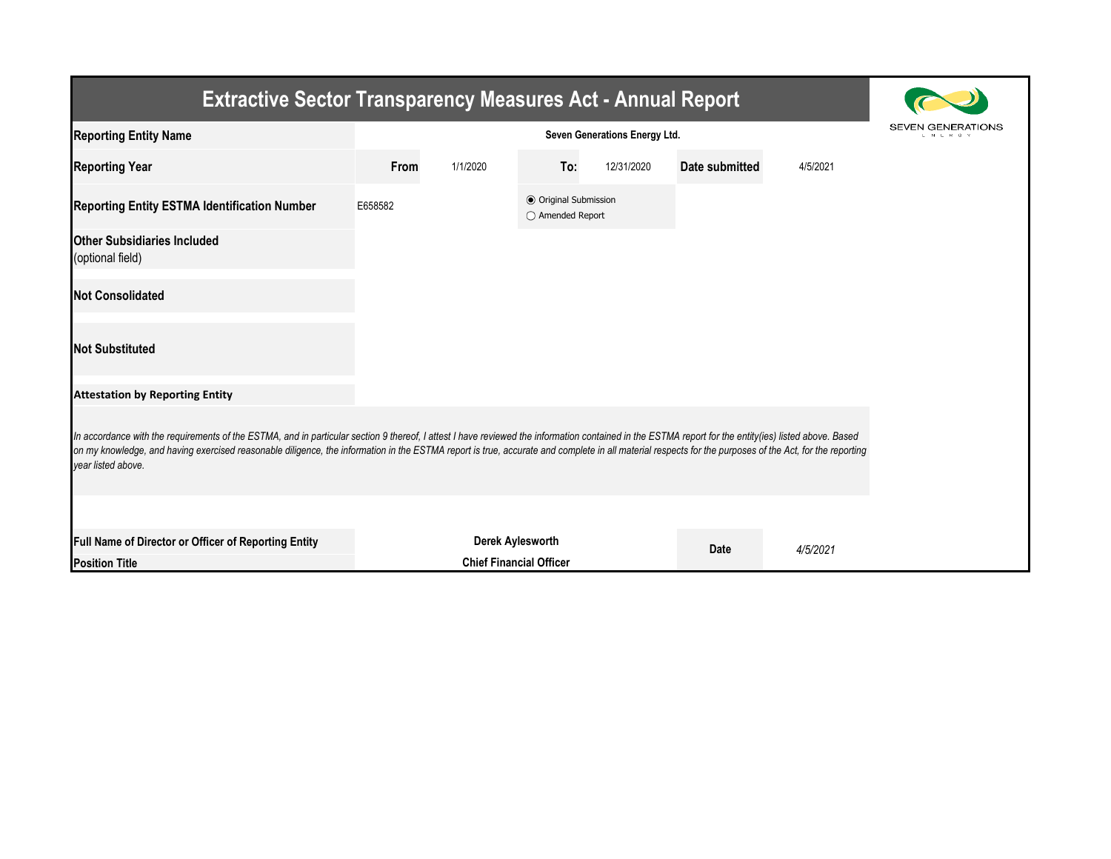| <b>Extractive Sector Transparency Measures Act - Annual Report</b>                                                                                                                                                                                                                                                                                                                                                                     |                               |                                |                                                  |            |                |          |  |  |  |
|----------------------------------------------------------------------------------------------------------------------------------------------------------------------------------------------------------------------------------------------------------------------------------------------------------------------------------------------------------------------------------------------------------------------------------------|-------------------------------|--------------------------------|--------------------------------------------------|------------|----------------|----------|--|--|--|
| <b>Reporting Entity Name</b>                                                                                                                                                                                                                                                                                                                                                                                                           | Seven Generations Energy Ltd. |                                |                                                  |            |                |          |  |  |  |
| <b>Reporting Year</b>                                                                                                                                                                                                                                                                                                                                                                                                                  | From                          | 1/1/2020                       | To:                                              | 12/31/2020 | Date submitted | 4/5/2021 |  |  |  |
| <b>Reporting Entity ESTMA Identification Number</b>                                                                                                                                                                                                                                                                                                                                                                                    | E658582                       |                                | <b>● Original Submission</b><br>◯ Amended Report |            |                |          |  |  |  |
| <b>Other Subsidiaries Included</b><br>(optional field)                                                                                                                                                                                                                                                                                                                                                                                 |                               |                                |                                                  |            |                |          |  |  |  |
| <b>Not Consolidated</b>                                                                                                                                                                                                                                                                                                                                                                                                                |                               |                                |                                                  |            |                |          |  |  |  |
| <b>Not Substituted</b>                                                                                                                                                                                                                                                                                                                                                                                                                 |                               |                                |                                                  |            |                |          |  |  |  |
| <b>Attestation by Reporting Entity</b>                                                                                                                                                                                                                                                                                                                                                                                                 |                               |                                |                                                  |            |                |          |  |  |  |
| In accordance with the requirements of the ESTMA, and in particular section 9 thereof, I attest I have reviewed the information contained in the ESTMA report for the entity (ies) listed above. Based<br>on my knowledge, and having exercised reasonable diligence, the information in the ESTMA report is true, accurate and complete in all material respects for the purposes of the Act, for the reporting<br>vear listed above. |                               |                                |                                                  |            |                |          |  |  |  |
|                                                                                                                                                                                                                                                                                                                                                                                                                                        |                               |                                |                                                  |            |                |          |  |  |  |
| Full Name of Director or Officer of Reporting Entity<br><b>Position Title</b>                                                                                                                                                                                                                                                                                                                                                          |                               | <b>Chief Financial Officer</b> | Derek Aylesworth                                 |            | Date           | 4/5/2021 |  |  |  |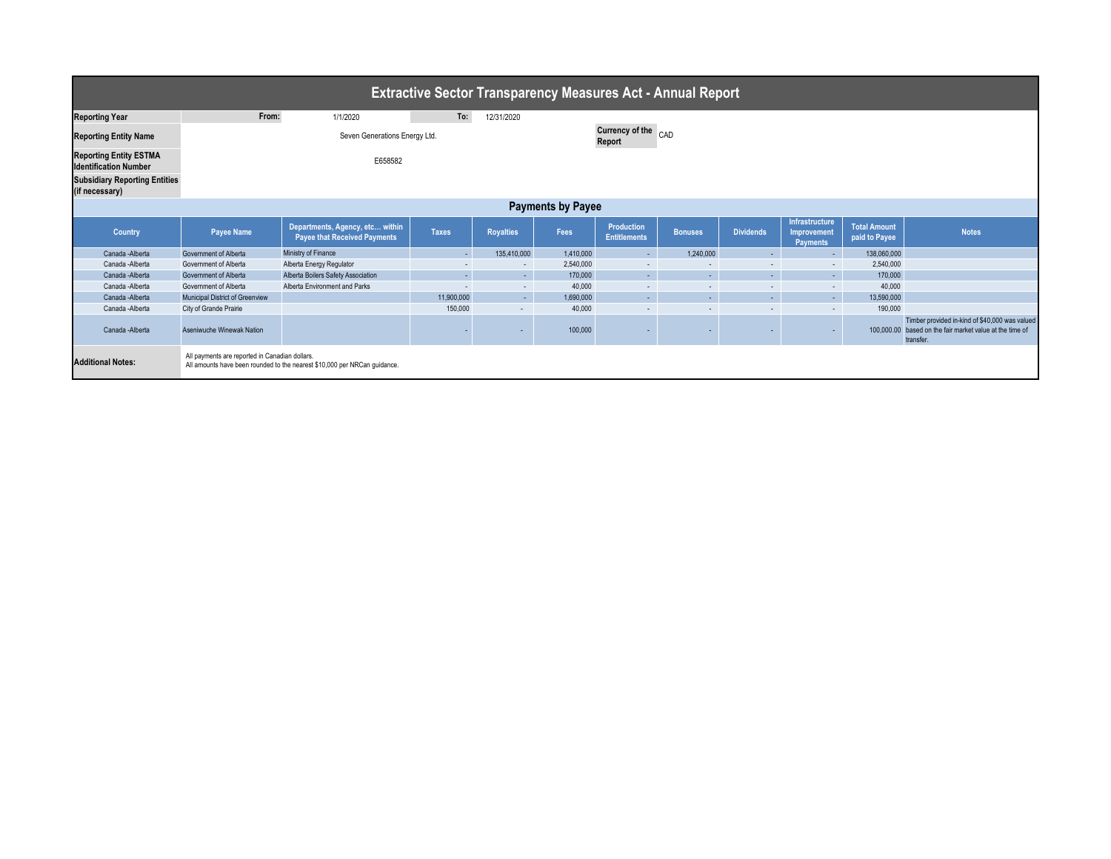| <b>Extractive Sector Transparency Measures Act - Annual Report</b>                                    |                                                |                                                                           |                               |                  |           |                                   |                |                          |                                                         |                                      |                                                                                                                         |
|-------------------------------------------------------------------------------------------------------|------------------------------------------------|---------------------------------------------------------------------------|-------------------------------|------------------|-----------|-----------------------------------|----------------|--------------------------|---------------------------------------------------------|--------------------------------------|-------------------------------------------------------------------------------------------------------------------------|
| <b>Reporting Year</b>                                                                                 | From:                                          | 1/1/2020                                                                  | To:                           | 12/31/2020       |           |                                   |                |                          |                                                         |                                      |                                                                                                                         |
| <b>Reporting Entity Name</b>                                                                          |                                                |                                                                           | Currency of the CAD<br>Report |                  |           |                                   |                |                          |                                                         |                                      |                                                                                                                         |
| <b>Reporting Entity ESTMA</b><br><b>Identification Number</b><br><b>Subsidiary Reporting Entities</b> |                                                | E658582                                                                   |                               |                  |           |                                   |                |                          |                                                         |                                      |                                                                                                                         |
| (if necessary)                                                                                        |                                                |                                                                           |                               |                  |           |                                   |                |                          |                                                         |                                      |                                                                                                                         |
| <b>Payments by Payee</b>                                                                              |                                                |                                                                           |                               |                  |           |                                   |                |                          |                                                         |                                      |                                                                                                                         |
| Country                                                                                               | <b>Payee Name</b>                              | Departments, Agency, etc within<br><b>Payee that Received Payments</b>    | <b>Taxes</b>                  | <b>Royalties</b> | Fees      | Production<br><b>Entitlements</b> | <b>Bonuses</b> | <b>Dividends</b>         | Infrastructure<br><b>Improvement</b><br><b>Payments</b> | <b>Total Amount</b><br>paid to Payee | <b>Notes</b>                                                                                                            |
| Canada - Alberta                                                                                      | Government of Alberta                          | Ministry of Finance                                                       | н.                            | 135,410,000      | 1,410,000 | $\sim 10$                         | 1,240,000      | $\sim$                   | ×.                                                      | 138,060,000                          |                                                                                                                         |
| Canada -Alberta                                                                                       | Government of Alberta                          | Alberta Energy Regulator                                                  | $\sim$                        | $\sim$           | 2,540,000 | $\sim$                            | $\sim$         | $\sim$                   | $\sim$                                                  | 2,540,000                            |                                                                                                                         |
| Canada - Alberta                                                                                      | Government of Alberta                          | Alberta Boilers Safety Association                                        | н.                            | $\sim$           | 170,000   | $\sim 10$                         | $\sim$         | $\sim$                   | <b>Section</b>                                          | 170,000                              |                                                                                                                         |
| Canada -Alberta                                                                                       | Government of Alberta                          | Alberta Environment and Parks                                             | $\sim$                        | $\sim$           | 40,000    | $\sim$                            | $\sim$         | $\sim$                   | $\sim$                                                  | 40,000                               |                                                                                                                         |
| Canada - Alberta                                                                                      | Municipal District of Greenview                |                                                                           | 11,900,000                    | $\sim$           | 1,690,000 | $\sim$ $-$                        | $\sim$         | $\sim$                   | <b>Section</b>                                          | 13,590,000                           |                                                                                                                         |
| Canada -Alberta                                                                                       | City of Grande Prairie                         |                                                                           | 150,000                       | $\sim$           | 40,000    | $\sim$                            |                | $\overline{\phantom{a}}$ | $\sim$                                                  | 190,000                              |                                                                                                                         |
| Canada - Alberta                                                                                      | Aseniwuche Winewak Nation                      |                                                                           |                               |                  | 100,000   |                                   |                |                          |                                                         |                                      | Timber provided in-kind of \$40,000 was valued<br>100,000,00 based on the fair market value at the time of<br>transfer. |
| <b>Additional Notes:</b>                                                                              | All payments are reported in Canadian dollars. | All amounts have been rounded to the nearest \$10,000 per NRCan guidance. |                               |                  |           |                                   |                |                          |                                                         |                                      |                                                                                                                         |